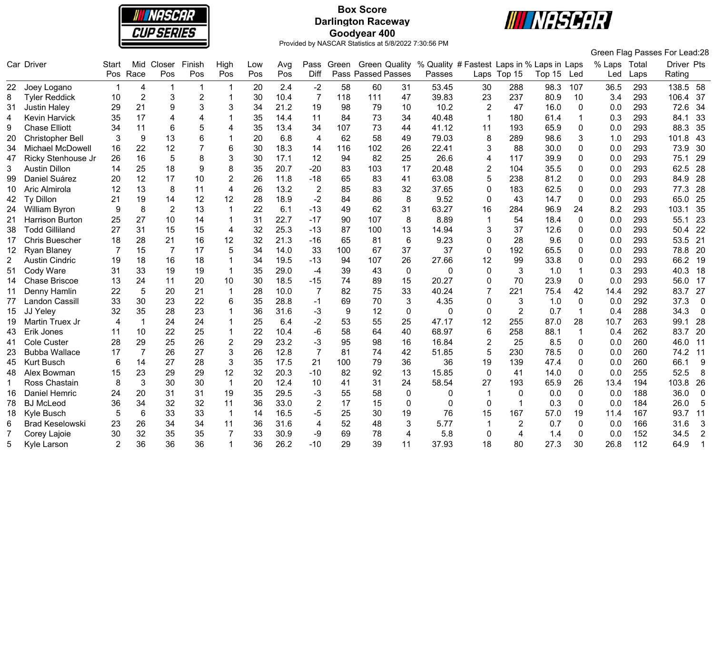

# **Box Score Darlington Raceway Goodyear 400**



|                       |                         |                |                |                 |                |                |     |      |                |       |                           |                 |                                            |                 |                |        |              |              |      | Green Flag Passes For Lead:28 |
|-----------------------|-------------------------|----------------|----------------|-----------------|----------------|----------------|-----|------|----------------|-------|---------------------------|-----------------|--------------------------------------------|-----------------|----------------|--------|--------------|--------------|------|-------------------------------|
|                       | Car Driver              | Start          | Mid            | Closer          | Finish         | High           | Low | Avg  | Pass           | Green | <b>Green Quality</b>      |                 | % Quality # Fastest Laps in % Laps in Laps |                 |                |        |              | % Laps Total |      | Driver Pts                    |
|                       |                         |                | Pos Race       | Pos             | Pos            | Pos            | Pos | Pos  | Diff           |       | <b>Pass Passed Passes</b> |                 | Passes                                     |                 | Laps Top 15    | Top 15 | Led          | Led          | Laps | Rating                        |
|                       | 22 Joey Logano          |                | 4              | -1              |                |                | 20  | 2.4  | $-2$           | 58    | 60                        | 31              | 53.45                                      | 30              | 288            | 98.3   | 107          | 36.5         | 293  | 138.5<br>- 58                 |
| 8                     | <b>Tyler Reddick</b>    | 10             | $\overline{2}$ | 3               | $\overline{2}$ |                | 30  | 10.4 | 7              | 118   | 111                       | 47              | 39.83                                      | 23              | 237            | 80.9   | 10           | 3.4          | 293  | 106.4<br>37                   |
| 31                    | <b>Justin Haley</b>     | 29             | 21             | 9               | 3              | 3              | 34  | 21.2 | 19             | 98    | 79                        | 10              | 10.2                                       | $\overline{2}$  | 47             | 16.0   | 0            | 0.0          | 293  | 72.6<br>34                    |
| 4                     | <b>Kevin Harvick</b>    | 35             | 17             | 4               | 4              | 1              | 35  | 14.4 | 11             | 84    | 73                        | 34              | 40.48                                      | $\mathbf{1}$    | 180            | 61.4   | 1            | 0.3          | 293  | 33<br>84.1                    |
| 9                     | <b>Chase Elliott</b>    | 34             | 11             | 6               | 5              | 4              | 35  | 13.4 | 34             | 107   | 73                        | 44              | 41.12                                      | 11              | 193            | 65.9   | 0            | 0.0          | 293  | 88.3<br>35                    |
| 20                    | <b>Christopher Bell</b> | 3              | 9              | 13              | 6              |                | 20  | 6.8  | $\overline{4}$ | 62    | 58                        | 49              | 79.03                                      | 8               | 289            | 98.6   | 3            | 1.0          | 293  | 43<br>101.8                   |
| 34                    | Michael McDowell        | 16             | 22             | 12              |                | 6              | 30  | 18.3 | 14             | 116   | 102                       | 26              | 22.41                                      | 3               | 88             | 30.0   | 0            | 0.0          | 293  | 30<br>73.9                    |
| 47                    | Ricky Stenhouse Jr      | 26             | 16             | $5\phantom{.0}$ | 8              | 3              | 30  | 17.1 | 12             | 94    | 82                        | 25              | 26.6                                       | $\overline{4}$  | 117            | 39.9   | 0            | 0.0          | 293  | 75.1<br>29                    |
| 3                     | <b>Austin Dillon</b>    | 14             | 25             | 18              | 9              | 8              | 35  | 20.7 | $-20$          | 83    | 103                       | 17              | 20.48                                      | $\overline{2}$  | 104            | 35.5   | 0            | 0.0          | 293  | 62.5<br>28                    |
| 99                    | Daniel Suárez           | 20             | 12             | 17              | 10             | $\overline{2}$ | 26  | 11.8 | $-18$          | 65    | 83                        | 41              | 63.08                                      | 5               | 238            | 81.2   | 0            | 0.0          | 293  | 28<br>84.9                    |
| 10                    | Aric Almirola           | 12             | 13             | 8               | 11             | $\overline{4}$ | 26  | 13.2 | $\overline{2}$ | 85    | 83                        | 32              | 37.65                                      | $\Omega$        | 183            | 62.5   | 0            | 0.0          | 293  | 77.3<br>28                    |
| 42                    | Ty Dillon               | 21             | 19             | 14              | 12             | 12             | 28  | 18.9 | $-2$           | 84    | 86                        | 8               | 9.52                                       | $\mathbf 0$     | 43             | 14.7   | 0            | 0.0          | 293  | 25<br>65.0                    |
| 24.                   | <b>William Byron</b>    | 9              | 8              | $\overline{2}$  | 13             |                | 22  | 6.1  | $-13$          | 49    | 62                        | 31              | 63.27                                      | 16              | 284            | 96.9   | 24           | 8.2          | 293  | 103.1<br>35                   |
| 21                    | <b>Harrison Burton</b>  | 25             | 27             | 10              | 14             |                | 31  | 22.7 | $-17$          | 90    | 107                       | 8               | 8.89                                       | 1               | 54             | 18.4   | $\Omega$     | 0.0          | 293  | 55.1<br>23                    |
| 38                    | <b>Todd Gilliland</b>   | 27             | 31             | 15              | 15             | $\overline{4}$ | 32  | 25.3 | $-13$          | 87    | 100                       | 13              | 14.94                                      | 3               | 37             | 12.6   | 0            | 0.0          | 293  | 22<br>50.4                    |
| 17                    | <b>Chris Buescher</b>   | 18             | 28             | 21              | 16             | 12             | 32  | 21.3 | $-16$          | 65    | 81                        | $6\phantom{1}6$ | 9.23                                       | $\mathbf 0$     | 28             | 9.6    | 0            | 0.0          | 293  | 53.5<br>21                    |
| 12                    | <b>Ryan Blaney</b>      | 7              | 15             | $\overline{7}$  | 17             | 5              | 34  | 14.0 | 33             | 100   | 67                        | 37              | 37                                         | $\mathbf 0$     | 192            | 65.5   | 0            | 0.0          | 293  | 78.8<br>20                    |
| $\mathbf{2}^{\prime}$ | <b>Austin Cindric</b>   | 19             | 18             | 16              | 18             |                | 34  | 19.5 | $-13$          | 94    | 107                       | 26              | 27.66                                      | 12              | 99             | 33.8   | 0            | 0.0          | 293  | 66.2<br>19                    |
| 51                    | Cody Ware               | 31             | 33             | 19              | 19             | 1              | 35  | 29.0 | $-4$           | 39    | 43                        | $\mathbf{0}$    | $\Omega$                                   | $\Omega$        | 3              | 1.0    | 1            | 0.3          | 293  | 40.3<br>18                    |
| 14                    | <b>Chase Briscoe</b>    | 13             | 24             | 11              | 20             | 10             | 30  | 18.5 | $-15$          | 74    | 89                        | 15              | 20.27                                      | $\Omega$        | 70             | 23.9   | $\mathbf{0}$ | 0.0          | 293  | 56.0<br>17                    |
| 11                    | Denny Hamlin            | 22             | 5              | 20              | 21             |                | 28  | 10.0 | $\overline{7}$ | 82    | 75                        | 33              | 40.24                                      | $\overline{7}$  | 221            | 75.4   | 42           | 14.4         | 292  | 27<br>83.7                    |
| 77                    | <b>Landon Cassill</b>   | 33             | 30             | 23              | 22             | 6              | 35  | 28.8 | -1             | 69    | 70                        | 3               | 4.35                                       | $\Omega$        | 3              | 1.0    | 0            | 0.0          | 292  | 37.3<br>$\overline{0}$        |
| 15                    | JJ Yeley                | 32             | 35             | 28              | 23             |                | 36  | 31.6 | -3             | 9     | 12                        | 0               | 0                                          | $\mathbf 0$     | $\overline{2}$ | 0.7    | 1            | 0.4          | 288  | 34.3<br>$\overline{0}$        |
| 19                    | Martin Truex Jr         | 4              | $\mathbf{1}$   | 24              | 24             |                | 25  | 6.4  | $-2$           | 53    | 55                        | 25              | 47.17                                      | 12              | 255            | 87.0   | 28           | 10.7         | 263  | 28<br>99.1                    |
| 43                    | Erik Jones              | 11             | 10             | 22              | 25             |                | 22  | 10.4 | -6             | 58    | 64                        | 40              | 68.97                                      | $6\phantom{1}6$ | 258            | 88.1   | 1            | 0.4          | 262  | 83.7<br>20                    |
| 41                    | Cole Custer             | 28             | 29             | 25              | 26             | $\overline{2}$ | 29  | 23.2 | $-3$           | 95    | 98                        | 16              | 16.84                                      | $\overline{2}$  | 25             | 8.5    | 0            | 0.0          | 260  | 46.0<br>11                    |
| 23                    | <b>Bubba Wallace</b>    | 17             | $\overline{7}$ | 26              | 27             | 3              | 26  | 12.8 | $\overline{7}$ | 81    | 74                        | 42              | 51.85                                      | 5               | 230            | 78.5   | 0            | 0.0          | 260  | 74.2<br>11                    |
| 45                    | <b>Kurt Busch</b>       | 6              | 14             | 27              | 28             | 3              | 35  | 17.5 | 21             | 100   | 79                        | 36              | 36                                         | 19              | 139            | 47.4   | 0            | 0.0          | 260  | 9<br>66.1                     |
| 48                    | Alex Bowman             | 15             | 23             | 29              | 29             | 12             | 32  | 20.3 | $-10$          | 82    | 92                        | 13              | 15.85                                      | $\Omega$        | 41             | 14.0   | 0            | 0.0          | 255  | 52.5<br>8                     |
| 1                     | Ross Chastain           | 8              | 3              | 30              | 30             | $\mathbf{1}$   | 20  | 12.4 | 10             | 41    | 31                        | 24              | 58.54                                      | 27              | 193            | 65.9   | 26           | 13.4         | 194  | 103.8<br>26                   |
| 16                    | Daniel Hemric           | 24             | 20             | 31              | 31             | 19             | 35  | 29.5 | -3             | 55    | 58                        | 0               | 0                                          | -1              | 0              | 0.0    | $\mathbf{0}$ | 0.0          | 188  | 36.0<br>$\mathbf 0$           |
| 78                    | <b>BJ</b> McLeod        | 36             | 34             | 32              | 32             | 11             | 36  | 33.0 |                | 17    | 15                        | $\mathbf{0}$    | 0                                          | $\mathbf{0}$    | 1              | 0.3    | 0            | 0.0          | 184  | 5<br>26.0                     |
| 18                    | Kyle Busch              | 5              | 6              | 33              | 33             | $\overline{1}$ | 14  | 16.5 | -5             | 25    | 30                        | 19              | 76                                         | 15              | 167            | 57.0   | 19           | 11.4         | 167  | 11<br>93.7                    |
| 6                     | <b>Brad Keselowski</b>  | 23             | 26             | 34              | 34             | 11             | 36  | 31.6 | $\overline{4}$ | 52    | 48                        | 3               | 5.77                                       |                 | $\overline{2}$ | 0.7    | 0            | 0.0          | 166  | 31.6<br>3                     |
|                       | Corey Lajoie            | 30             | 32             | 35              | 35             | 7              | 33  | 30.9 | -9             | 69    | 78                        | 4               | 5.8                                        | $\Omega$        | 4              | 1.4    | 0            | 0.0          | 152  | 34.5<br>$\overline{2}$        |
| 5.                    | Kyle Larson             | $\mathfrak{p}$ | 36             | 36              | 36             |                | 36  | 26.2 | $-10$          | 29    | 39                        | 11              | 37.93                                      | 18              | 80             | 27.3   | 30           | 26.8         | 112  | 64.9                          |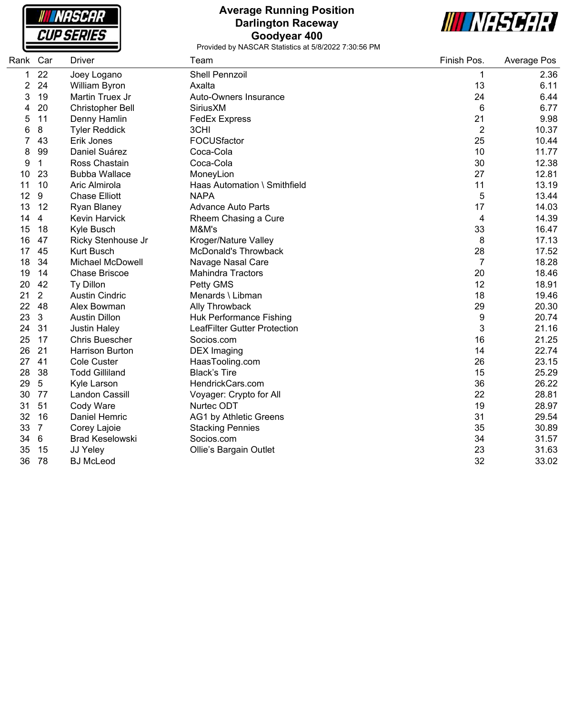

# **Average Running Position Darlington Raceway Goodyear 400**



| Rank | Car             | Driver                  | Team                           | Finish Pos.    | Average Pos |
|------|-----------------|-------------------------|--------------------------------|----------------|-------------|
| 1    | 22              | Joey Logano             | <b>Shell Pennzoil</b>          | 1              | 2.36        |
| 2    | 24              | William Byron           | Axalta                         | 13             | 6.11        |
| 3    | 19              | Martin Truex Jr         | Auto-Owners Insurance          | 24             | 6.44        |
| 4    | 20              | <b>Christopher Bell</b> | <b>Sirius XM</b>               | 6              | 6.77        |
| 5    | 11              | Denny Hamlin            | <b>FedEx Express</b>           | 21             | 9.98        |
| 6    | 8               | <b>Tyler Reddick</b>    | 3CHI                           | $\overline{2}$ | 10.37       |
| 7    | 43              | Erik Jones              | FOCUSfactor                    | 25             | 10.44       |
| 8    | 99              | Daniel Suárez           | Coca-Cola                      | 10             | 11.77       |
| 9    | $\mathbf{1}$    | Ross Chastain           | Coca-Cola                      | 30             | 12.38       |
| 10   | 23              | <b>Bubba Wallace</b>    | MoneyLion                      | 27             | 12.81       |
| 11   | 10              | Aric Almirola           | Haas Automation \ Smithfield   | 11             | 13.19       |
| 12   | 9               | <b>Chase Elliott</b>    | <b>NAPA</b>                    | 5              | 13.44       |
| 13   | 12              | Ryan Blaney             | <b>Advance Auto Parts</b>      | 17             | 14.03       |
| 14   | $\overline{4}$  | <b>Kevin Harvick</b>    | Rheem Chasing a Cure           | 4              | 14.39       |
| 15   | 18              | Kyle Busch              | M&M's                          | 33             | 16.47       |
| 16   | 47              | Ricky Stenhouse Jr      | Kroger/Nature Valley           | 8              | 17.13       |
| 17   | 45              | <b>Kurt Busch</b>       | McDonald's Throwback           | 28             | 17.52       |
| 18   | 34              | <b>Michael McDowell</b> | Navage Nasal Care              | 7              | 18.28       |
| 19   | 14              | <b>Chase Briscoe</b>    | <b>Mahindra Tractors</b>       | 20             | 18.46       |
| 20   | 42              | Ty Dillon               | Petty GMS                      | 12             | 18.91       |
| 21   | $\overline{2}$  | <b>Austin Cindric</b>   | Menards \ Libman               | 18             | 19.46       |
| 22   | 48              | Alex Bowman             | Ally Throwback                 | 29             | 20.30       |
| 23   | $\mathbf{3}$    | <b>Austin Dillon</b>    | <b>Huk Performance Fishing</b> | 9              | 20.74       |
| 24   | 31              | <b>Justin Haley</b>     | LeafFilter Gutter Protection   | 3              | 21.16       |
| 25   | 17              | <b>Chris Buescher</b>   | Socios.com                     | 16             | 21.25       |
| 26   | 21              | <b>Harrison Burton</b>  | <b>DEX Imaging</b>             | 14             | 22.74       |
| 27   | 41              | <b>Cole Custer</b>      | HaasTooling.com                | 26             | 23.15       |
| 28   | 38              | <b>Todd Gilliland</b>   | <b>Black's Tire</b>            | 15             | 25.29       |
| 29   | 5               | Kyle Larson             | HendrickCars.com               | 36             | 26.22       |
| 30   | 77              | Landon Cassill          | Voyager: Crypto for All        | 22             | 28.81       |
| 31   | 51              | Cody Ware               | Nurtec ODT                     | 19             | 28.97       |
| 32   | 16              | Daniel Hemric           | AG1 by Athletic Greens         | 31             | 29.54       |
| 33   | $\overline{7}$  | Corey Lajoie            | <b>Stacking Pennies</b>        | 35             | 30.89       |
| 34   | $6\phantom{1}6$ | <b>Brad Keselowski</b>  | Socios.com                     | 34             | 31.57       |
| 35   | 15              | JJ Yeley                | Ollie's Bargain Outlet         | 23             | 31.63       |
| 36   | 78              | <b>BJ</b> McLeod        |                                | 32             | 33.02       |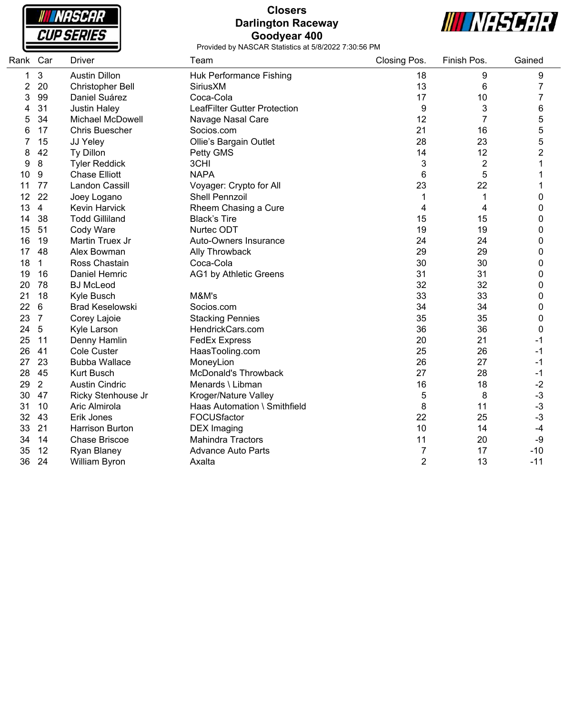|  |  | NASCAR<br><b>CUP SERIES</b> |
|--|--|-----------------------------|

#### **Closers Darlington Raceway Goodyear 400**



| Rank | Car            | <b>Driver</b>          | Team                         | Closing Pos.   | Finish Pos.    | Gained                  |
|------|----------------|------------------------|------------------------------|----------------|----------------|-------------------------|
| 1    | 3              | <b>Austin Dillon</b>   | Huk Performance Fishing      | 18             | 9              | 9                       |
| 2    | 20             | Christopher Bell       | SiriusXM                     | 13             | 6              | 7                       |
| 3    | 99             | Daniel Suárez          | Coca-Cola                    | 17             | 10             | 7                       |
| 4    | 31             | <b>Justin Haley</b>    | LeafFilter Gutter Protection | 9              | 3              | 6                       |
| 5    | 34             | Michael McDowell       | Navage Nasal Care            | 12             | $\overline{7}$ | 5                       |
| 6    | 17             | <b>Chris Buescher</b>  | Socios.com                   | 21             | 16             | 5                       |
| 7    | 15             | JJ Yeley               | Ollie's Bargain Outlet       | 28             | 23             | 5                       |
| 8    | 42             | Ty Dillon              | Petty GMS                    | 14             | 12             | $\overline{\mathbf{c}}$ |
| 9    | 8              | <b>Tyler Reddick</b>   | 3CHI                         | 3              | $\overline{c}$ |                         |
| 10   | 9              | <b>Chase Elliott</b>   | <b>NAPA</b>                  | 6              | 5              |                         |
| 11   | 77             | Landon Cassill         | Voyager: Crypto for All      | 23             | 22             |                         |
| 12   | 22             | Joey Logano            | <b>Shell Pennzoil</b>        | 1              | 1              | 0                       |
| 13   | $\overline{4}$ | Kevin Harvick          | Rheem Chasing a Cure         | 4              | 4              | $\mathbf 0$             |
| 14   | 38             | <b>Todd Gilliland</b>  | <b>Black's Tire</b>          | 15             | 15             | 0                       |
| 15   | 51             | Cody Ware              | Nurtec ODT                   | 19             | 19             | 0                       |
| 16   | 19             | Martin Truex Jr        | Auto-Owners Insurance        | 24             | 24             | 0                       |
| 17   | 48             | Alex Bowman            | Ally Throwback               | 29             | 29             | 0                       |
| 18   | 1              | Ross Chastain          | Coca-Cola                    | 30             | 30             | 0                       |
| 19   | 16             | Daniel Hemric          | AG1 by Athletic Greens       | 31             | 31             | 0                       |
| 20   | 78             | <b>BJ</b> McLeod       |                              | 32             | 32             | 0                       |
| 21   | 18             | Kyle Busch             | M&M's                        | 33             | 33             | 0                       |
| 22   | 6              | <b>Brad Keselowski</b> | Socios.com                   | 34             | 34             | 0                       |
| 23   | $\overline{7}$ | Corey Lajoie           | <b>Stacking Pennies</b>      | 35             | 35             | 0                       |
| 24   | 5              | Kyle Larson            | HendrickCars.com             | 36             | 36             | 0                       |
| 25   | 11             | Denny Hamlin           | <b>FedEx Express</b>         | 20             | 21             | $-1$                    |
| 26   | 41             | Cole Custer            | HaasTooling.com              | 25             | 26             | $-1$                    |
| 27   | 23             | <b>Bubba Wallace</b>   | MoneyLion                    | 26             | 27             | $-1$                    |
| 28   | 45             | <b>Kurt Busch</b>      | <b>McDonald's Throwback</b>  | 27             | 28             | $-1$                    |
| 29   | $\overline{2}$ | <b>Austin Cindric</b>  | Menards \ Libman             | 16             | 18             | $-2$                    |
| 30   | 47             | Ricky Stenhouse Jr     | Kroger/Nature Valley         | 5              | 8              | $-3$                    |
| 31   | 10             | Aric Almirola          | Haas Automation \ Smithfield | 8              | 11             | $-3$                    |
| 32   | 43             | Erik Jones             | FOCUSfactor                  | 22             | 25             | $-3$                    |
| 33   | 21             | <b>Harrison Burton</b> | <b>DEX</b> Imaging           | 10             | 14             | $-4$                    |
| 34   | 14             | <b>Chase Briscoe</b>   | <b>Mahindra Tractors</b>     | 11             | 20             | -9                      |
| 35   | 12             | Ryan Blaney            | <b>Advance Auto Parts</b>    | 7              | 17             | $-10$                   |
| 36   | 24             | William Byron          | Axalta                       | $\overline{2}$ | 13             | $-11$                   |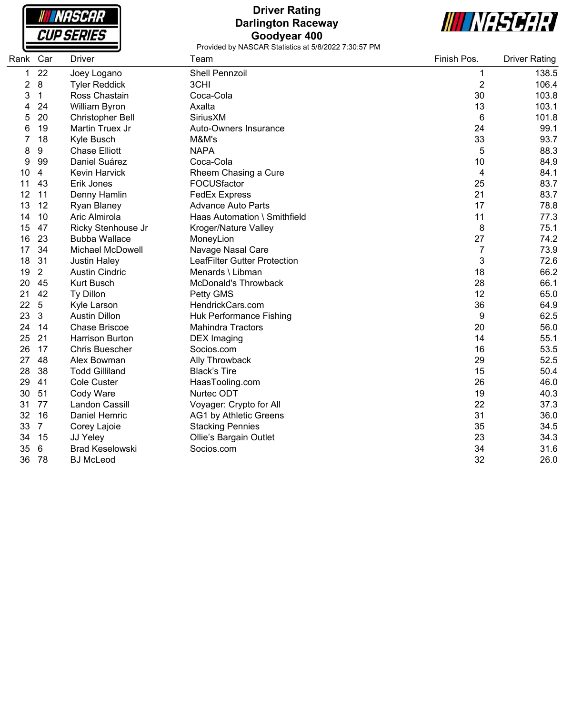

# **Driver Rating Darlington Raceway Goodyear 400**



| Rank Car |                 | Driver                  | Team                                | Finish Pos.    | <b>Driver Rating</b> |
|----------|-----------------|-------------------------|-------------------------------------|----------------|----------------------|
| 1        | 22              | Joey Logano             | <b>Shell Pennzoil</b>               | 1              | 138.5                |
| 2        | 8               | <b>Tyler Reddick</b>    | 3CHI                                | $\overline{c}$ | 106.4                |
| 3        | 1               | Ross Chastain           | Coca-Cola                           | 30             | 103.8                |
| 4        | 24              | William Byron           | Axalta                              | 13             | 103.1                |
| 5        | 20              | Christopher Bell        | <b>Sirius XM</b>                    | 6              | 101.8                |
| 6        | 19              | Martin Truex Jr         | Auto-Owners Insurance               | 24             | 99.1                 |
| 7        | 18              | Kyle Busch              | M&M's                               | 33             | 93.7                 |
| 8        | 9               | <b>Chase Elliott</b>    | <b>NAPA</b>                         | 5              | 88.3                 |
| 9        | 99              | Daniel Suárez           | Coca-Cola                           | 10             | 84.9                 |
| 10       | 4               | <b>Kevin Harvick</b>    | Rheem Chasing a Cure                | 4              | 84.1                 |
| 11       | 43              | Erik Jones              | FOCUSfactor                         | 25             | 83.7                 |
| 12       | 11              | Denny Hamlin            | <b>FedEx Express</b>                | 21             | 83.7                 |
| 13       | 12              | Ryan Blaney             | <b>Advance Auto Parts</b>           | 17             | 78.8                 |
| 14       | 10              | Aric Almirola           | Haas Automation \ Smithfield        | 11             | 77.3                 |
| 15       | 47              | Ricky Stenhouse Jr      | Kroger/Nature Valley                | 8              | 75.1                 |
| 16       | 23              | <b>Bubba Wallace</b>    | MoneyLion                           | 27             | 74.2                 |
| 17       | 34              | <b>Michael McDowell</b> | Navage Nasal Care                   | 7              | 73.9                 |
| 18       | 31              | <b>Justin Haley</b>     | <b>LeafFilter Gutter Protection</b> | 3              | 72.6                 |
| 19       | $\overline{2}$  | <b>Austin Cindric</b>   | Menards \ Libman                    | 18             | 66.2                 |
| 20       | 45              | <b>Kurt Busch</b>       | <b>McDonald's Throwback</b>         | 28             | 66.1                 |
| 21       | 42              | Ty Dillon               | Petty GMS                           | 12             | 65.0                 |
| 22       | $\sqrt{5}$      | Kyle Larson             | HendrickCars.com                    | 36             | 64.9                 |
| 23       | 3               | <b>Austin Dillon</b>    | Huk Performance Fishing             | 9              | 62.5                 |
| 24       | 14              | <b>Chase Briscoe</b>    | <b>Mahindra Tractors</b>            | 20             | 56.0                 |
| 25       | 21              | <b>Harrison Burton</b>  | <b>DEX</b> Imaging                  | 14             | 55.1                 |
| 26       | 17              | <b>Chris Buescher</b>   | Socios.com                          | 16             | 53.5                 |
| 27       | 48              | Alex Bowman             | Ally Throwback                      | 29             | 52.5                 |
| 28       | 38              | <b>Todd Gilliland</b>   | <b>Black's Tire</b>                 | 15             | 50.4                 |
| 29       | 41              | Cole Custer             | HaasTooling.com                     | 26             | 46.0                 |
| 30       | 51              | Cody Ware               | Nurtec ODT                          | 19             | 40.3                 |
| 31       | 77              | Landon Cassill          | Voyager: Crypto for All             | 22             | 37.3                 |
| 32       | 16              | Daniel Hemric           | AG1 by Athletic Greens              | 31             | 36.0                 |
| 33       | $\overline{7}$  | Corey Lajoie            | <b>Stacking Pennies</b>             | 35             | 34.5                 |
| 34       | 15              | JJ Yeley                | Ollie's Bargain Outlet              | 23             | 34.3                 |
| 35       | $6\phantom{1}6$ | <b>Brad Keselowski</b>  | Socios.com                          | 34             | 31.6                 |
| 36       | 78              | <b>BJ</b> McLeod        |                                     | 32             | 26.0                 |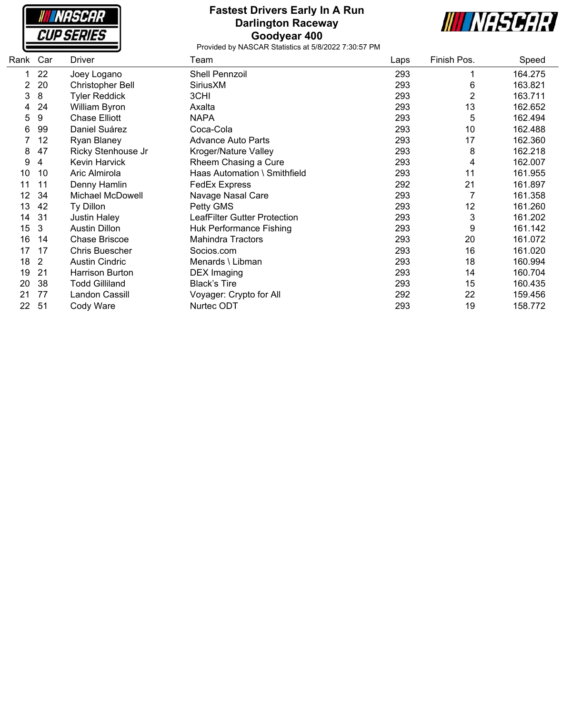| NASCAR            |
|-------------------|
| <i>CUP SERIES</i> |

### **Fastest Drivers Early In A Run Darlington Raceway Goodyear 400**



| Rank | Car            | <b>Driver</b>           | Team                         | Laps | Finish Pos. | Speed   |
|------|----------------|-------------------------|------------------------------|------|-------------|---------|
|      | 22             | Joey Logano             | Shell Pennzoil               | 293  |             | 164.275 |
| 2    | 20             | <b>Christopher Bell</b> | SiriusXM                     | 293  | 6           | 163.821 |
| 3    | 8              | <b>Tyler Reddick</b>    | 3CHI                         | 293  | 2           | 163.711 |
| 4    | 24             | William Byron           | Axalta                       | 293  | 13          | 162.652 |
| 5    | 9              | <b>Chase Elliott</b>    | <b>NAPA</b>                  | 293  | 5           | 162.494 |
| 6    | 99             | Daniel Suárez           | Coca-Cola                    | 293  | 10          | 162.488 |
|      | 12             | <b>Ryan Blaney</b>      | <b>Advance Auto Parts</b>    | 293  | 17          | 162.360 |
| 8    | 47             | Ricky Stenhouse Jr      | Kroger/Nature Valley         | 293  | 8           | 162.218 |
| 9    | 4              | Kevin Harvick           | Rheem Chasing a Cure         | 293  | 4           | 162.007 |
| 10   | 10             | Aric Almirola           | Haas Automation \ Smithfield | 293  | 11          | 161.955 |
| 11   | 11             | Denny Hamlin            | <b>FedEx Express</b>         | 292  | 21          | 161.897 |
| 12   | 34             | Michael McDowell        | Navage Nasal Care            | 293  |             | 161.358 |
| 13   | 42             | Ty Dillon               | Petty GMS                    | 293  | 12          | 161.260 |
| 14   | 31             | <b>Justin Haley</b>     | LeafFilter Gutter Protection | 293  | 3           | 161.202 |
| 15   | 3              | <b>Austin Dillon</b>    | Huk Performance Fishing      | 293  | 9           | 161.142 |
| 16   | 14             | <b>Chase Briscoe</b>    | <b>Mahindra Tractors</b>     | 293  | 20          | 161.072 |
| 17   | 17             | <b>Chris Buescher</b>   | Socios.com                   | 293  | 16          | 161.020 |
| 18   | $\overline{2}$ | <b>Austin Cindric</b>   | Menards \ Libman             | 293  | 18          | 160.994 |
| 19   | 21             | Harrison Burton         | <b>DEX</b> Imaging           | 293  | 14          | 160.704 |
| 20   | 38             | <b>Todd Gilliland</b>   | <b>Black's Tire</b>          | 293  | 15          | 160.435 |
| 21   | 77             | Landon Cassill          | Voyager: Crypto for All      | 292  | 22          | 159.456 |
| 22   | 51             | Cody Ware               | Nurtec ODT                   | 293  | 19          | 158.772 |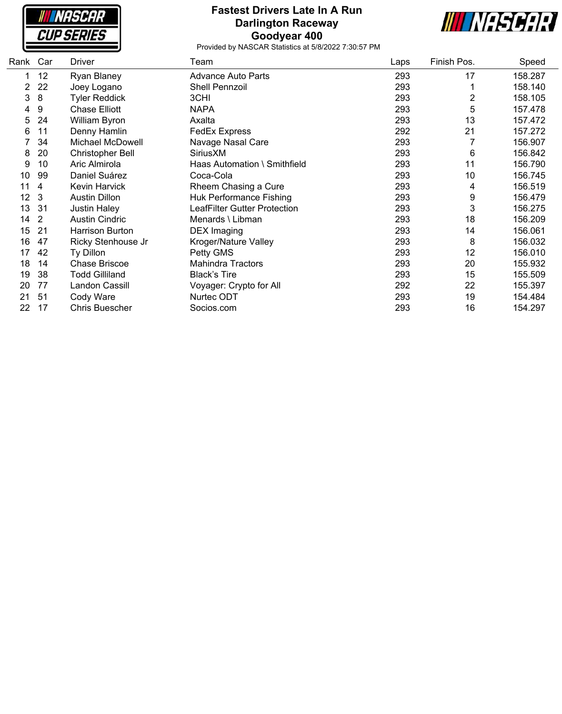| <b>WHSCAR</b>     |
|-------------------|
| <i>CUP SERIES</i> |

### **Fastest Drivers Late In A Run Darlington Raceway Goodyear 400**



| Rank           | Car            | Driver                  | Team                           | Laps | Finish Pos. | Speed   |
|----------------|----------------|-------------------------|--------------------------------|------|-------------|---------|
|                | 12             | Ryan Blaney             | <b>Advance Auto Parts</b>      | 293  | 17          | 158.287 |
| $\overline{2}$ | 22             | Joey Logano             | Shell Pennzoil                 | 293  |             | 158.140 |
| 3              | 8              | <b>Tyler Reddick</b>    | 3CHI                           | 293  | 2           | 158.105 |
| 4              | 9              | Chase Elliott           | <b>NAPA</b>                    | 293  | 5           | 157.478 |
| 5              | 24             | William Byron           | Axalta                         | 293  | 13          | 157.472 |
| 6              | 11             | Denny Hamlin            | <b>FedEx Express</b>           | 292  | 21          | 157.272 |
|                | 34             | <b>Michael McDowell</b> | Navage Nasal Care              | 293  |             | 156.907 |
| 8              | 20             | Christopher Bell        | SiriusXM                       | 293  | 6           | 156.842 |
| 9              | 10             | Aric Almirola           | Haas Automation \ Smithfield   | 293  | 11          | 156.790 |
| 10             | 99             | Daniel Suárez           | Coca-Cola                      | 293  | 10          | 156.745 |
| 11             | 4              | <b>Kevin Harvick</b>    | Rheem Chasing a Cure           | 293  | 4           | 156.519 |
| 12             | 3              | <b>Austin Dillon</b>    | <b>Huk Performance Fishing</b> | 293  | 9           | 156.479 |
| 13             | 31             | <b>Justin Haley</b>     | LeafFilter Gutter Protection   | 293  | 3           | 156.275 |
| 14             | $\overline{2}$ | <b>Austin Cindric</b>   | Menards \ Libman               | 293  | 18          | 156.209 |
| 15             | 21             | Harrison Burton         | <b>DEX</b> Imaging             | 293  | 14          | 156.061 |
| 16             | 47             | Ricky Stenhouse Jr      | Kroger/Nature Valley           | 293  | 8           | 156.032 |
| 17             | 42             | Ty Dillon               | Petty GMS                      | 293  | 12          | 156.010 |
| 18             | 14             | <b>Chase Briscoe</b>    | <b>Mahindra Tractors</b>       | 293  | 20          | 155.932 |
| 19             | 38             | <b>Todd Gilliland</b>   | <b>Black's Tire</b>            | 293  | 15          | 155.509 |
| 20             | 77             | Landon Cassill          | Voyager: Crypto for All        | 292  | 22          | 155.397 |
| 21             | 51             | Cody Ware               | Nurtec ODT                     | 293  | 19          | 154.484 |
| 22             | 17             | <b>Chris Buescher</b>   | Socios.com                     | 293  | 16          | 154.297 |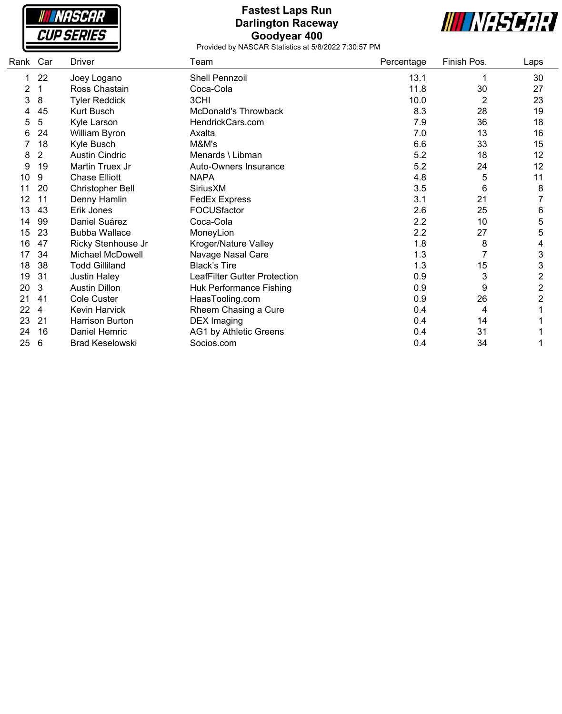

### **Fastest Laps Run Darlington Raceway Goodyear 400**



| Rank | Car            | Driver                  | Team                                | Percentage | Finish Pos. | Laps           |
|------|----------------|-------------------------|-------------------------------------|------------|-------------|----------------|
|      | 22             | Joey Logano             | Shell Pennzoil                      | 13.1       | 1           | 30             |
| 2    |                | Ross Chastain           | Coca-Cola                           | 11.8       | 30          | 27             |
| 3    | 8              | <b>Tyler Reddick</b>    | 3CHI                                | 10.0       | 2           | 23             |
|      | 45             | Kurt Busch              | McDonald's Throwback                | 8.3        | 28          | 19             |
| 5    | 5              | Kyle Larson             | HendrickCars.com                    | 7.9        | 36          | 18             |
| 6    | 24             | William Byron           | Axalta                              | 7.0        | 13          | 16             |
|      | 18             | Kyle Busch              | M&M's                               | 6.6        | 33          | 15             |
| 8    | $\overline{2}$ | <b>Austin Cindric</b>   | Menards \ Libman                    | 5.2        | 18          | 12             |
| 9    | 19             | Martin Truex Jr         | Auto-Owners Insurance               | 5.2        | 24          | 12             |
| 10   | 9              | <b>Chase Elliott</b>    | <b>NAPA</b>                         | 4.8        | 5           | 11             |
| 11   | 20             | <b>Christopher Bell</b> | <b>Sirius XM</b>                    | 3.5        | 6           | 8              |
| 12   | 11             | Denny Hamlin            | <b>FedEx Express</b>                | 3.1        | 21          |                |
| 13   | 43             | Erik Jones              | FOCUSfactor                         | 2.6        | 25          | 6              |
| 14   | 99             | Daniel Suárez           | Coca-Cola                           | 2.2        | 10          | 5              |
| 15   | 23             | <b>Bubba Wallace</b>    | MoneyLion                           | 2.2        | 27          | 5              |
| 16   | 47             | Ricky Stenhouse Jr      | Kroger/Nature Valley                | 1.8        | 8           | 4              |
| 17   | 34             | Michael McDowell        | Navage Nasal Care                   | 1.3        | 7           | 3              |
| 18   | 38             | <b>Todd Gilliland</b>   | <b>Black's Tire</b>                 | 1.3        | 15          | 3              |
| 19   | 31             | <b>Justin Haley</b>     | <b>LeafFilter Gutter Protection</b> | 0.9        | 3           | $\overline{c}$ |
| 20   | 3              | <b>Austin Dillon</b>    | Huk Performance Fishing             | 0.9        | 9           | $\overline{2}$ |
| 21   | 41             | Cole Custer             | HaasTooling.com                     | 0.9        | 26          | $\overline{2}$ |
| 22   | 4              | Kevin Harvick           | Rheem Chasing a Cure                | 0.4        | 4           |                |
| 23   | 21             | Harrison Burton         | <b>DEX Imaging</b>                  | 0.4        | 14          |                |
| 24   | 16             | Daniel Hemric           | AG1 by Athletic Greens              | 0.4        | 31          |                |
| 25   | 6              | <b>Brad Keselowski</b>  | Socios.com                          | 0.4        | 34          |                |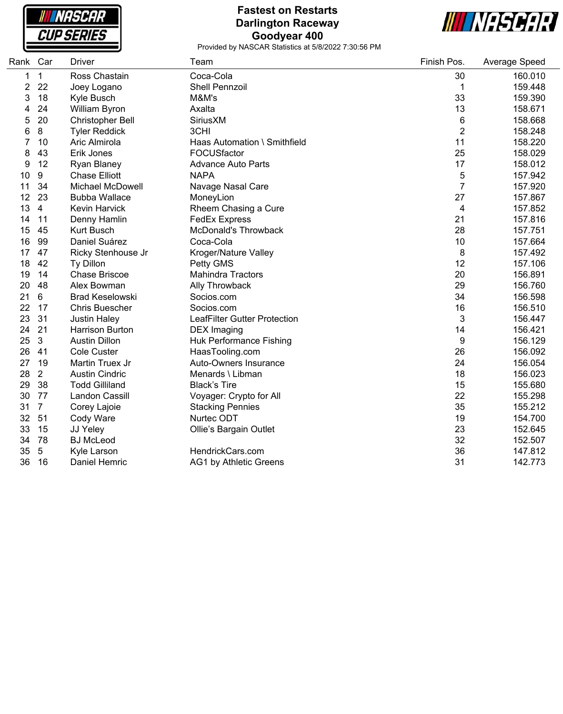

## **Fastest on Restarts Darlington Raceway Goodyear 400**



| Rank Car |                | Driver                  | Team                         | Finish Pos.    | Average Speed |
|----------|----------------|-------------------------|------------------------------|----------------|---------------|
| 1        | $\mathbf{1}$   | Ross Chastain           | Coca-Cola                    | 30             | 160.010       |
| 2        | 22             | Joey Logano             | Shell Pennzoil               | 1              | 159.448       |
| 3        | 18             | Kyle Busch              | M&M's                        | 33             | 159.390       |
| 4        | 24             | William Byron           | Axalta                       | 13             | 158.671       |
| 5        | 20             | <b>Christopher Bell</b> | SiriusXM                     | 6              | 158.668       |
| 6        | 8              | <b>Tyler Reddick</b>    | 3CHI                         | $\overline{2}$ | 158.248       |
|          | 10             | Aric Almirola           | Haas Automation \ Smithfield | 11             | 158.220       |
| 8        | 43             | Erik Jones              | FOCUSfactor                  | 25             | 158.029       |
| 9        | 12             | Ryan Blaney             | <b>Advance Auto Parts</b>    | 17             | 158.012       |
| 10       | 9              | <b>Chase Elliott</b>    | <b>NAPA</b>                  | 5              | 157.942       |
| 11       | 34             | <b>Michael McDowell</b> | Navage Nasal Care            | 7              | 157.920       |
| 12       | 23             | <b>Bubba Wallace</b>    | MoneyLion                    | 27             | 157.867       |
| 13       | $\overline{4}$ | <b>Kevin Harvick</b>    | Rheem Chasing a Cure         | 4              | 157.852       |
| 14       | 11             | Denny Hamlin            | <b>FedEx Express</b>         | 21             | 157.816       |
| 15       | 45             | <b>Kurt Busch</b>       | McDonald's Throwback         | 28             | 157.751       |
| 16       | 99             | Daniel Suárez           | Coca-Cola                    | 10             | 157.664       |
| 17       | 47             | Ricky Stenhouse Jr      | Kroger/Nature Valley         | 8              | 157.492       |
| 18       | 42             | Ty Dillon               | Petty GMS                    | 12             | 157.106       |
| 19       | 14             | <b>Chase Briscoe</b>    | <b>Mahindra Tractors</b>     | 20             | 156.891       |
| 20       | 48             | Alex Bowman             | Ally Throwback               | 29             | 156.760       |
| 21       | 6              | <b>Brad Keselowski</b>  | Socios.com                   | 34             | 156.598       |
| 22       | 17             | <b>Chris Buescher</b>   | Socios.com                   | 16             | 156.510       |
| 23       | 31             | <b>Justin Haley</b>     | LeafFilter Gutter Protection | 3              | 156.447       |
| 24       | 21             | <b>Harrison Burton</b>  | <b>DEX</b> Imaging           | 14             | 156.421       |
| 25       | 3              | <b>Austin Dillon</b>    | Huk Performance Fishing      | 9              | 156.129       |
| 26       | 41             | Cole Custer             | HaasTooling.com              | 26             | 156.092       |
| 27       | 19             | Martin Truex Jr         | Auto-Owners Insurance        | 24             | 156.054       |
| 28       | $\overline{2}$ | <b>Austin Cindric</b>   | Menards \ Libman             | 18             | 156.023       |
| 29       | 38             | <b>Todd Gilliland</b>   | <b>Black's Tire</b>          | 15             | 155.680       |
| 30       | 77             | Landon Cassill          | Voyager: Crypto for All      | 22             | 155.298       |
| 31       | $\overline{7}$ | Corey Lajoie            | <b>Stacking Pennies</b>      | 35             | 155.212       |
| 32       | 51             | Cody Ware               | Nurtec ODT                   | 19             | 154.700       |
| 33       | 15             | JJ Yeley                | Ollie's Bargain Outlet       | 23             | 152.645       |
| 34       | 78             | <b>BJ</b> McLeod        |                              | 32             | 152.507       |
| 35       | 5              | Kyle Larson             | HendrickCars.com             | 36             | 147.812       |
| 36       | 16             | <b>Daniel Hemric</b>    | AG1 by Athletic Greens       | 31             | 142.773       |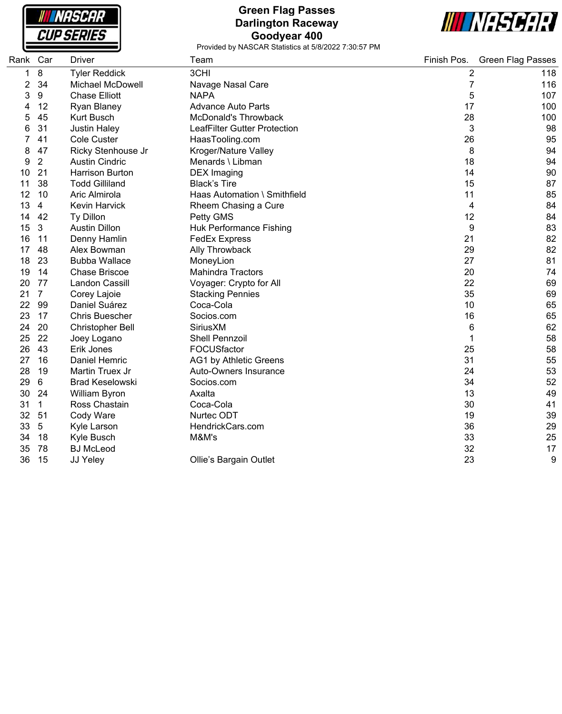

# **Green Flag Passes Darlington Raceway Goodyear 400**



| Rank | Car            | <b>Driver</b>           | Team                         | Finish Pos.    | <b>Green Flag Passes</b> |
|------|----------------|-------------------------|------------------------------|----------------|--------------------------|
| 1    | 8              | <b>Tyler Reddick</b>    | 3CHI                         | $\overline{2}$ | 118                      |
| 2    | 34             | <b>Michael McDowell</b> | Navage Nasal Care            | 7              | 116                      |
| 3    | 9              | <b>Chase Elliott</b>    | <b>NAPA</b>                  | 5              | 107                      |
|      | 12             | Ryan Blaney             | <b>Advance Auto Parts</b>    | 17             | 100                      |
| 5    | 45             | <b>Kurt Busch</b>       | <b>McDonald's Throwback</b>  | 28             | 100                      |
| 6    | 31             | <b>Justin Haley</b>     | LeafFilter Gutter Protection | 3              | 98                       |
|      | 41             | <b>Cole Custer</b>      | HaasTooling.com              | 26             | 95                       |
| 8    | 47             | Ricky Stenhouse Jr      | Kroger/Nature Valley         | 8              | 94                       |
| 9    | $\overline{2}$ | <b>Austin Cindric</b>   | Menards \ Libman             | 18             | 94                       |
| 10   | 21             | <b>Harrison Burton</b>  | <b>DEX</b> Imaging           | 14             | 90                       |
| 11   | 38             | <b>Todd Gilliland</b>   | <b>Black's Tire</b>          | 15             | 87                       |
| 12   | 10             | Aric Almirola           | Haas Automation \ Smithfield | 11             | 85                       |
| 13   | 4              | <b>Kevin Harvick</b>    | Rheem Chasing a Cure         | 4              | 84                       |
| 14   | 42             | Ty Dillon               | Petty GMS                    | 12             | 84                       |
| 15   | 3              | <b>Austin Dillon</b>    | Huk Performance Fishing      | 9              | 83                       |
| 16   | 11             | Denny Hamlin            | <b>FedEx Express</b>         | 21             | 82                       |
| 17   | 48             | Alex Bowman             | Ally Throwback               | 29             | 82                       |
| 18   | 23             | <b>Bubba Wallace</b>    | MoneyLion                    | 27             | 81                       |
| 19   | 14             | <b>Chase Briscoe</b>    | <b>Mahindra Tractors</b>     | 20             | 74                       |
| 20   | 77             | Landon Cassill          | Voyager: Crypto for All      | 22             | 69                       |
| 21   | $\overline{7}$ | Corey Lajoie            | <b>Stacking Pennies</b>      | 35             | 69                       |
| 22   | 99             | Daniel Suárez           | Coca-Cola                    | 10             | 65                       |
| 23   | 17             | <b>Chris Buescher</b>   | Socios.com                   | 16             | 65                       |
| 24   | 20             | <b>Christopher Bell</b> | SiriusXM                     | 6              | 62                       |
| 25   | 22             | Joey Logano             | Shell Pennzoil               | 1              | 58                       |
| 26   | 43             | Erik Jones              | FOCUSfactor                  | 25             | 58                       |
| 27   | 16             | Daniel Hemric           | AG1 by Athletic Greens       | 31             | 55                       |
| 28   | 19             | Martin Truex Jr         | <b>Auto-Owners Insurance</b> | 24             | 53                       |
| 29   | 6              | Brad Keselowski         | Socios.com                   | 34             | 52                       |
| 30   | 24             | William Byron           | Axalta                       | 13             | 49                       |
| 31   | $\mathbf 1$    | Ross Chastain           | Coca-Cola                    | 30             | 41                       |
| 32   | 51             | Cody Ware               | Nurtec ODT                   | 19             | 39                       |
| 33   | 5              | Kyle Larson             | HendrickCars.com             | 36             | 29                       |
| 34   | 18             | Kyle Busch              | M&M's                        | 33             | 25                       |
| 35   | 78             | <b>BJ</b> McLeod        |                              | 32             | 17                       |
| 36   | 15             | JJ Yeley                | Ollie's Bargain Outlet       | 23             | 9                        |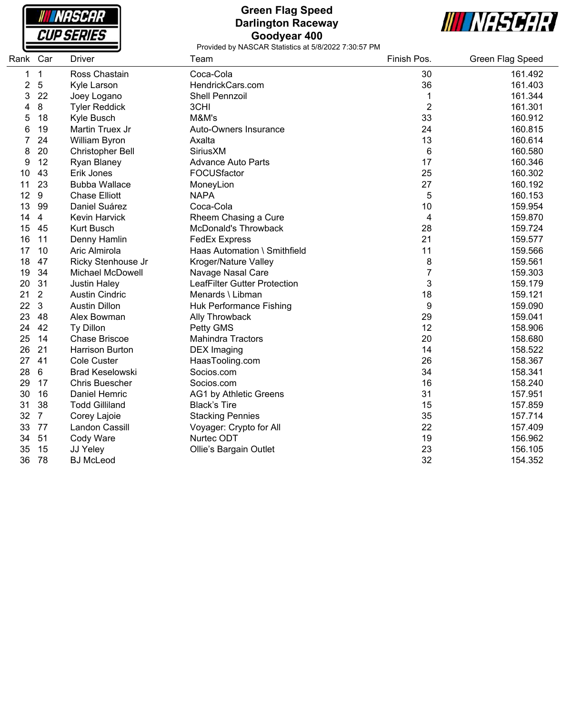

## **Green Flag Speed Darlington Raceway Goodyear 400**



| Rank Car |                | <b>Driver</b>           | Team                                | Finish Pos.    | Green Flag Speed |
|----------|----------------|-------------------------|-------------------------------------|----------------|------------------|
| 1        | $\mathbf 1$    | Ross Chastain           | Coca-Cola                           | 30             | 161.492          |
| 2        | $\overline{5}$ | Kyle Larson             | HendrickCars.com                    | 36             | 161.403          |
| 3        | 22             | Joey Logano             | Shell Pennzoil                      | 1              | 161.344          |
| 4        | $\bf 8$        | <b>Tyler Reddick</b>    | 3CHI                                | $\overline{2}$ | 161.301          |
| 5        | 18             | Kyle Busch              | M&M's                               | 33             | 160.912          |
| 6        | 19             | Martin Truex Jr         | Auto-Owners Insurance               | 24             | 160.815          |
| 7        | 24             | William Byron           | Axalta                              | 13             | 160.614          |
| 8        | 20             | <b>Christopher Bell</b> | <b>Sirius XM</b>                    | 6              | 160.580          |
| 9        | 12             | Ryan Blaney             | <b>Advance Auto Parts</b>           | 17             | 160.346          |
| 10       | 43             | Erik Jones              | FOCUSfactor                         | 25             | 160.302          |
| 11       | 23             | <b>Bubba Wallace</b>    | MoneyLion                           | 27             | 160.192          |
| 12       | 9              | <b>Chase Elliott</b>    | <b>NAPA</b>                         | 5              | 160.153          |
| 13       | 99             | Daniel Suárez           | Coca-Cola                           | 10             | 159.954          |
| 14       | $\overline{4}$ | Kevin Harvick           | Rheem Chasing a Cure                | 4              | 159.870          |
| 15       | 45             | <b>Kurt Busch</b>       | <b>McDonald's Throwback</b>         | 28             | 159.724          |
| 16       | 11             | Denny Hamlin            | <b>FedEx Express</b>                | 21             | 159.577          |
| 17       | 10             | Aric Almirola           | Haas Automation \ Smithfield        | 11             | 159.566          |
| 18       | 47             | Ricky Stenhouse Jr      | Kroger/Nature Valley                | 8              | 159.561          |
| 19       | 34             | <b>Michael McDowell</b> | Navage Nasal Care                   | $\overline{7}$ | 159.303          |
| 20       | 31             | <b>Justin Haley</b>     | <b>LeafFilter Gutter Protection</b> | 3              | 159.179          |
| 21       | $\overline{2}$ | <b>Austin Cindric</b>   | Menards \ Libman                    | 18             | 159.121          |
| 22       | 3              | <b>Austin Dillon</b>    | Huk Performance Fishing             | 9              | 159.090          |
| 23       | 48             | Alex Bowman             | Ally Throwback                      | 29             | 159.041          |
| 24       | 42             | Ty Dillon               | Petty GMS                           | 12             | 158.906          |
| 25       | 14             | <b>Chase Briscoe</b>    | <b>Mahindra Tractors</b>            | 20             | 158.680          |
| 26       | 21             | <b>Harrison Burton</b>  | <b>DEX</b> Imaging                  | 14             | 158.522          |
| 27       | 41             | <b>Cole Custer</b>      | HaasTooling.com                     | 26             | 158.367          |
| 28       | 6              | <b>Brad Keselowski</b>  | Socios.com                          | 34             | 158.341          |
| 29       | 17             | <b>Chris Buescher</b>   | Socios.com                          | 16             | 158.240          |
| 30       | 16             | Daniel Hemric           | AG1 by Athletic Greens              | 31             | 157.951          |
| 31       | 38             | <b>Todd Gilliland</b>   | <b>Black's Tire</b>                 | 15             | 157.859          |
| 32       | $\overline{7}$ | Corey Lajoie            | <b>Stacking Pennies</b>             | 35             | 157.714          |
| 33       | 77             | Landon Cassill          | Voyager: Crypto for All             | 22             | 157.409          |
| 34       | 51             | Cody Ware               | Nurtec ODT                          | 19             | 156.962          |
| 35       | 15             | JJ Yeley                | Ollie's Bargain Outlet              | 23             | 156.105          |
| 36       | 78             | <b>BJ McLeod</b>        |                                     | 32             | 154.352          |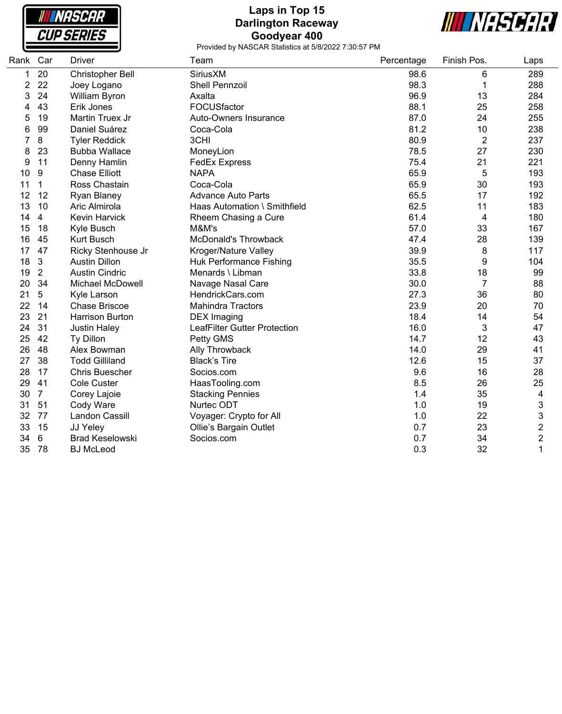

## **Laps in Top 15 Darlington Raceway Goodyear 400**



| Rank | Car            | <b>Driver</b>           | Team                                | Percentage | Finish Pos.    | Laps           |
|------|----------------|-------------------------|-------------------------------------|------------|----------------|----------------|
| 1    | 20             | <b>Christopher Bell</b> | SiriusXM                            | 98.6       | 6              | 289            |
| 2    | 22             | Joey Logano             | <b>Shell Pennzoil</b>               | 98.3       | 1              | 288            |
| 3    | 24             | William Byron           | Axalta                              | 96.9       | 13             | 284            |
| 4    | 43             | Erik Jones              | FOCUSfactor                         | 88.1       | 25             | 258            |
| 5    | 19             | Martin Truex Jr         | Auto-Owners Insurance               | 87.0       | 24             | 255            |
| 6    | 99             | Daniel Suárez           | Coca-Cola                           | 81.2       | 10             | 238            |
| 7    | $\bf 8$        | <b>Tyler Reddick</b>    | 3CHI                                | 80.9       | $\overline{2}$ | 237            |
| 8    | 23             | <b>Bubba Wallace</b>    | MoneyLion                           | 78.5       | 27             | 230            |
| 9    | 11             | Denny Hamlin            | <b>FedEx Express</b>                | 75.4       | 21             | 221            |
| 10   | 9              | <b>Chase Elliott</b>    | <b>NAPA</b>                         | 65.9       | 5              | 193            |
| 11   | 1              | Ross Chastain           | Coca-Cola                           | 65.9       | 30             | 193            |
| 12   | 12             | Ryan Blaney             | <b>Advance Auto Parts</b>           | 65.5       | 17             | 192            |
| 13   | 10             | Aric Almirola           | Haas Automation \ Smithfield        | 62.5       | 11             | 183            |
| 14   | 4              | <b>Kevin Harvick</b>    | Rheem Chasing a Cure                | 61.4       | 4              | 180            |
| 15   | 18             | Kyle Busch              | M&M's                               | 57.0       | 33             | 167            |
| 16   | 45             | <b>Kurt Busch</b>       | <b>McDonald's Throwback</b>         | 47.4       | 28             | 139            |
| 17   | 47             | Ricky Stenhouse Jr      | Kroger/Nature Valley                | 39.9       | 8              | 117            |
| 18   | 3              | <b>Austin Dillon</b>    | Huk Performance Fishing             | 35.5       | 9              | 104            |
| 19   | $\overline{2}$ | <b>Austin Cindric</b>   | Menards \ Libman                    | 33.8       | 18             | 99             |
| 20   | 34             | <b>Michael McDowell</b> | Navage Nasal Care                   | 30.0       | $\overline{7}$ | 88             |
| 21   | 5              | Kyle Larson             | HendrickCars.com                    | 27.3       | 36             | 80             |
| 22   | 14             | <b>Chase Briscoe</b>    | <b>Mahindra Tractors</b>            | 23.9       | 20             | 70             |
| 23   | 21             | Harrison Burton         | <b>DEX</b> Imaging                  | 18.4       | 14             | 54             |
| 24   | 31             | <b>Justin Haley</b>     | <b>LeafFilter Gutter Protection</b> | 16.0       | 3              | 47             |
| 25   | 42             | Ty Dillon               | Petty GMS                           | 14.7       | 12             | 43             |
| 26   | 48             | Alex Bowman             | Ally Throwback                      | 14.0       | 29             | 41             |
| 27   | 38             | <b>Todd Gilliland</b>   | <b>Black's Tire</b>                 | 12.6       | 15             | 37             |
| 28   | 17             | <b>Chris Buescher</b>   | Socios.com                          | 9.6        | 16             | 28             |
| 29   | 41             | <b>Cole Custer</b>      | HaasTooling.com                     | 8.5        | 26             | 25             |
| 30   | $\overline{7}$ | Corey Lajoie            | <b>Stacking Pennies</b>             | 1.4        | 35             | 4              |
| 31   | 51             | Cody Ware               | Nurtec ODT                          | 1.0        | 19             | 3              |
| 32   | 77             | Landon Cassill          | Voyager: Crypto for All             | 1.0        | 22             | 3              |
| 33   | 15             | JJ Yeley                | Ollie's Bargain Outlet              | 0.7        | 23             | $\overline{2}$ |
| 34   | 6              | <b>Brad Keselowski</b>  | Socios.com                          | 0.7        | 34             | $\overline{2}$ |
| 35   | 78             | <b>BJ</b> McLeod        |                                     | 0.3        | 32             | 1              |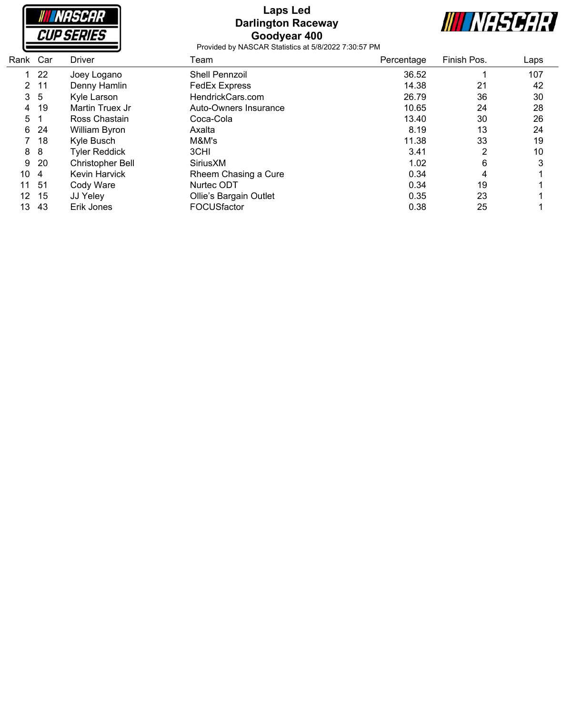| <i>NASCAR</i>     |  |
|-------------------|--|
| <i>CUP SERIES</i> |  |
|                   |  |

### **Laps Led Darlington Raceway Goodyear 400**



| Rank Car |     | <b>Driver</b>           | Team                   | Percentage | Finish Pos. | Laps |
|----------|-----|-------------------------|------------------------|------------|-------------|------|
|          | 22  | Joey Logano             | <b>Shell Pennzoil</b>  | 36.52      |             | 107  |
| 2        | -11 | Denny Hamlin            | <b>FedEx Express</b>   | 14.38      | 21          | 42   |
| 3        | -5  | Kyle Larson             | HendrickCars.com       | 26.79      | 36          | 30   |
| 4        | 19  | Martin Truex Jr         | Auto-Owners Insurance  | 10.65      | 24          | 28   |
| 5        |     | Ross Chastain           | Coca-Cola              | 13.40      | 30          | 26   |
| 6        | 24  | William Byron           | Axalta                 | 8.19       | 13          | 24   |
|          | 18  | Kyle Busch              | M&M's                  | 11.38      | 33          | 19   |
| 8        | 8   | <b>Tyler Reddick</b>    | 3CHI                   | 3.41       | 2           | 10   |
| 9        | 20  | <b>Christopher Bell</b> | SiriusXM               | 1.02       | 6           | 3    |
| 10       | -4  | <b>Kevin Harvick</b>    | Rheem Chasing a Cure   | 0.34       | 4           |      |
| 11       | 51  | Cody Ware               | Nurtec ODT             | 0.34       | 19          |      |
| 12       | 15  | JJ Yeley                | Ollie's Bargain Outlet | 0.35       | 23          |      |
| 13       | 43  | Erik Jones              | FOCUSfactor            | 0.38       | 25          |      |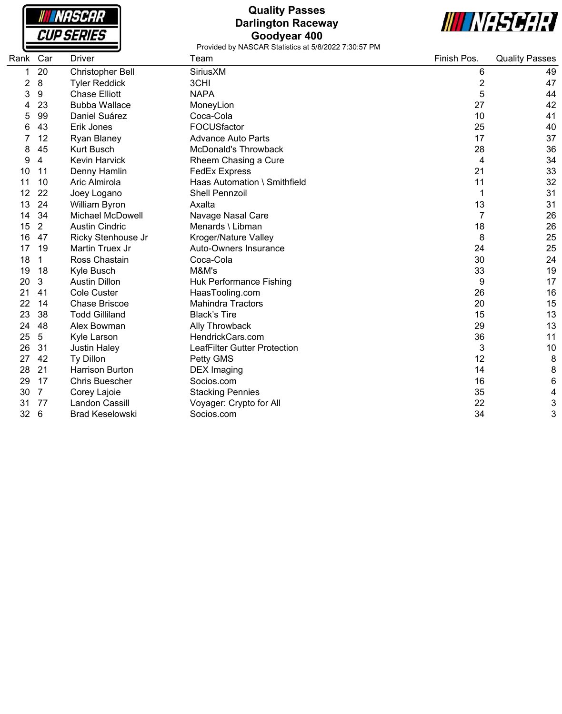

# **Quality Passes Darlington Raceway Goodyear 400**



| Rank | Car | Driver                  | Team                         | Finish Pos.    | <b>Quality Passes</b> |
|------|-----|-------------------------|------------------------------|----------------|-----------------------|
|      | 20  | <b>Christopher Bell</b> | SiriusXM                     | 6              | 49                    |
| 2    | 8   | <b>Tyler Reddick</b>    | 3CHI                         | $\overline{c}$ | 47                    |
| 3    | 9   | <b>Chase Elliott</b>    | <b>NAPA</b>                  | 5              | 44                    |
|      | 23  | <b>Bubba Wallace</b>    | MoneyLion                    | 27             | 42                    |
|      | 99  | Daniel Suárez           | Coca-Cola                    | 10             | 41                    |
|      | 43  | Erik Jones              | FOCUSfactor                  | 25             | 40                    |
|      | 12  | <b>Ryan Blaney</b>      | <b>Advance Auto Parts</b>    | 17             | 37                    |
| 8    | 45  | <b>Kurt Busch</b>       | <b>McDonald's Throwback</b>  | 28             | 36                    |
| 9    | 4   | <b>Kevin Harvick</b>    | Rheem Chasing a Cure         | 4              | 34                    |
| 10   | 11  | Denny Hamlin            | <b>FedEx Express</b>         | 21             | 33                    |
| 11   | 10  | Aric Almirola           | Haas Automation \ Smithfield | 11             | 32                    |
| 12   | 22  | Joey Logano             | <b>Shell Pennzoil</b>        | 1              | 31                    |
| 13   | 24  | William Byron           | Axalta                       | 13             | 31                    |
| 14   | 34  | Michael McDowell        | Navage Nasal Care            | $\overline{7}$ | 26                    |
| 15   | 2   | <b>Austin Cindric</b>   | Menards \ Libman             | 18             | 26                    |
| 16   | 47  | Ricky Stenhouse Jr      | Kroger/Nature Valley         | 8              | 25                    |
| 17   | 19  | Martin Truex Jr         | Auto-Owners Insurance        | 24             | 25                    |
| 18   | 1   | Ross Chastain           | Coca-Cola                    | 30             | 24                    |
| 19   | 18  | Kyle Busch              | M&M's                        | 33             | 19                    |
| 20   | 3   | <b>Austin Dillon</b>    | Huk Performance Fishing      | 9              | 17                    |
| 21   | 41  | <b>Cole Custer</b>      | HaasTooling.com              | 26             | 16                    |
| 22   | 14  | <b>Chase Briscoe</b>    | <b>Mahindra Tractors</b>     | 20             | 15                    |
| 23   | 38  | <b>Todd Gilliland</b>   | <b>Black's Tire</b>          | 15             | 13                    |
| 24   | 48  | Alex Bowman             | Ally Throwback               | 29             | 13                    |
| 25   | 5   | Kyle Larson             | HendrickCars.com             | 36             | 11                    |
| 26   | 31  | Justin Haley            | LeafFilter Gutter Protection | 3              | 10                    |
| 27   | 42  | Ty Dillon               | Petty GMS                    | 12             | 8                     |
| 28   | 21  | <b>Harrison Burton</b>  | <b>DEX</b> Imaging           | 14             | 8                     |
| 29   | 17  | <b>Chris Buescher</b>   | Socios.com                   | 16             | 6                     |
| 30   | 7   | Corey Lajoie            | <b>Stacking Pennies</b>      | 35             | 4                     |
| 31   | 77  | Landon Cassill          | Voyager: Crypto for All      | 22             | 3                     |
| 32   | 6   | <b>Brad Keselowski</b>  | Socios.com                   | 34             | 3                     |